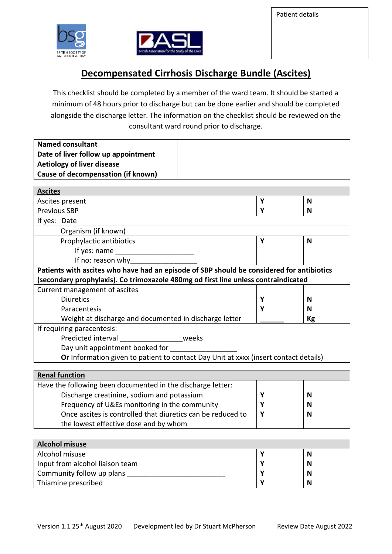Patient details



Community follow up plans

Thiamine prescribed



## **Decompensated Cirrhosis Discharge Bundle (Ascites)**

This checklist should be completed by a member of the ward team. It should be started a minimum of 48 hours prior to discharge but can be done earlier and should be completed alongside the discharge letter. The information on the checklist should be reviewed on the consultant ward round prior to discharge.

| <b>Named consultant</b>                                                                   |   |    |
|-------------------------------------------------------------------------------------------|---|----|
| Date of liver follow up appointment                                                       |   |    |
| <b>Aetiology of liver disease</b>                                                         |   |    |
| <b>Cause of decompensation (if known)</b>                                                 |   |    |
|                                                                                           |   |    |
| <b>Ascites</b>                                                                            |   |    |
| Ascites present                                                                           | Y | N  |
| <b>Previous SBP</b>                                                                       | Υ | N  |
| If yes: Date                                                                              |   |    |
| Organism (if known)                                                                       |   |    |
| Prophylactic antibiotics                                                                  | Y | N  |
| If yes: name                                                                              |   |    |
| If no: reason why                                                                         |   |    |
| Patients with ascites who have had an episode of SBP should be considered for antibiotics |   |    |
| (secondary prophylaxis). Co trimoxazole 480mg od first line unless contraindicated        |   |    |
| Current management of ascites                                                             |   |    |
| <b>Diuretics</b>                                                                          | Υ | N  |
| Paracentesis                                                                              | Y | N  |
| Weight at discharge and documented in discharge letter                                    |   | Kg |
| If requiring paracentesis:                                                                |   |    |
| Predicted interval<br>weeks                                                               |   |    |
| Day unit appointment booked for                                                           |   |    |
| Or Information given to patient to contact Day Unit at xxxx (insert contact details)      |   |    |
|                                                                                           |   |    |
| <b>Renal function</b>                                                                     |   |    |
| Have the following been documented in the discharge letter:                               |   |    |
| Discharge creatinine, sodium and potassium                                                | Υ | N  |
| Frequency of U&Es monitoring in the community                                             | Y | N  |
| Once ascites is controlled that diuretics can be reduced to                               | Y | N  |
| the lowest effective dose and by whom                                                     |   |    |
|                                                                                           |   |    |
| <b>Alcohol misuse</b>                                                                     |   |    |
| Alcohol misuse                                                                            | Υ | N  |
| Input from alcohol liaison team                                                           | Υ | N  |

**Y Y** **N N**